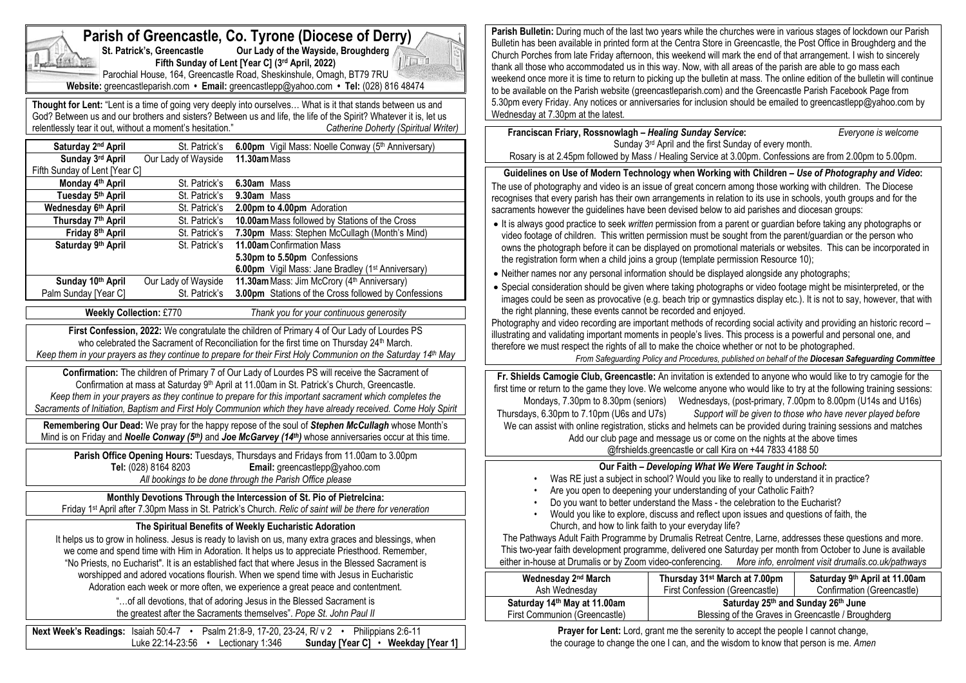#### **Parish Bulletin:** During much of the last two years while the churches were in various stages of lockdown our Parish **Parish of Greencastle, Co. Tyrone (Diocese of Derry)**<br>St. Patrick's. Greencastle Our Lady of the Wayside. Broughderg Bulletin has been available in printed form at the Centra Store in Greencastle, the Post Office in Broughderg and the **Starbilge Our Lady of the Wayside, Broughderg** Church Porches from late Friday afternoon, this weekend will mark the end of that arrangement. I wish to sincerely  $\| \cdot \|$ **Fifth Sunday of Lent [Year C] (3 rd April, 2022)** thank all those who accommodated us in this way. Now, with all areas of the parish are able to go mass each Parochial House, 164, Greencastle Road, Sheskinshule, Omagh, BT79 7RU weekend once more it is time to return to picking up the bulletin at mass. The online edition of the bulletin will continue **Website:** greencastleparish.com **• Email:** greencastlepp@yahoo.com **• Tel:** (028) 816 48474 to be available on the Parish website (greencastleparish.com) and the Greencastle Parish Facebook Page from 5.30pm every Friday. Any notices or anniversaries for inclusion should be emailed to greencastlepp@yahoo.com by **Thought for Lent:** "Lent is a time of going very deeply into ourselves… What is it that stands between us and Wednesday at 7.30pm at the latest. God? Between us and our brothers and sisters? Between us and life, the life of the Spirit? Whatever it is, let us<br>
relentlessly tear it out, without a moment's hesitation." Catherine Doherty (Spiritual Writer) relentlessly tear it out, without a moment's hesitation." **Franciscan Friary, Rossnowlagh –** *Healing Sunday Service***:** *Everyone is welcome* **Saturday 2** Sunday 3<sup>rd</sup> April and the first Sunday of every month. nd **April** St. Patrick's **6.00pm** Vigil Mass: Noelle Conway (5<sup>th</sup> Anniversary) Rosary is at 2.45pm followed by Mass / Healing Service at 3.00pm. Confessions are from 2.00pm to 5.00pm. **Sunday** 3rd April **rd April** Our Lady of Wayside **11.30am**Mass Fifth Sunday of Lent [Year C] **Guidelines on Use of Modern Technology when Working with Children –** *Use of Photography and Video***: Monday 4 St. Patrick's 6.30am** Mass The use of photography and video is an issue of great concern among those working with children. The Diocese **Tuesday 5 th April** St. Patrick's **9.30am** Mass recognises that every parish has their own arrangements in relation to its use in schools, youth groups and for the **Wednesday 6 St. Patrick's 2.00pm to 4.00pm** Adoration sacraments however the guidelines have been devised below to aid parishes and diocesan groups: **Thursday 7 th April** St. Patrick's **10.00am**Mass followed by Stations of the Cross • It is always good practice to seek *written* permission from a parent or guardian before taking any photographs or **Friday 8 St. Patrick's 7.30pm Mass: Stephen McCullagh (Month's Mind)** video footage of children. This written permission must be sought from the parent/guardian or the person who **Saturday 9 th April** St. Patrick's **11.00am**Confirmation Mass owns the photograph before it can be displayed on promotional materials or websites. This can be incorporated in **5.30pm to 5.50pm** Confessions the registration form when a child joins a group (template permission Resource 10); **6.00pm** Vigil Mass: Jane Bradley (1<sup>st</sup> Anniversary) • Neither names nor any personal information should be displayed alongside any photographs; **Sunday 10th April** Our Lady of Wayside **11.30am** Mass: Jim McCrory (4<sup>th</sup> Anniversary) • Special consideration should be given where taking photographs or video footage might be misinterpreted, or the **3.00pm** Stations of the Cross followed by Confessions Palm Sunday [Year C] St. Patrick's images could be seen as provocative (e.g. beach trip or gymnastics display etc.). It is not to say, however, that with the right planning, these events cannot be recorded and enjoyed. **Weekly Collection:** £770 *Thank you for your continuous generosity* Photography and video recording are important methods of recording social activity and providing an historic record – **First Confession, 2022:** We congratulate the children of Primary 4 of Our Lady of Lourdes PS illustrating and validating important moments in people's lives. This process is a powerful and personal one, and who celebrated the Sacrament of Reconciliation for the first time on Thursday 24<sup>th</sup> March. therefore we must respect the rights of all to make the choice whether or not to be photographed. *Keep them in your prayers as they continue to prepare for their First Holy Communion on the Saturday 14th May From Safeguarding Policy and Procedures, published on behalf of the Diocesan Safeguarding Committee* **Confirmation:** The children of Primary 7 of Our Lady of Lourdes PS will receive the Sacrament of **Fr. Shields Camogie Club, Greencastle:** An invitation is extended to anyone who would like to try camogie for the Confirmation at mass at Saturday 9<sup>th</sup> April at 11.00am in St. Patrick's Church, Greencastle. first time or return to the game they love. We welcome anyone who would like to try at the following training sessions: *Keep them in your prayers as they continue to prepare for this important sacrament which completes the*  Mondays, 7.30pm to 8.30pm (seniors) Wednesdays, (post-primary, 7.00pm to 8.00pm (U14s and U16s) *Sacraments of Initiation, Baptism and First Holy Communion which they have already received. Come Holy Spirit* Thursdays, 6.30pm to 7.10pm (U6s and U7s) *Support will be given to those who have never played before* **Remembering Our Dead:** We pray for the happy repose of the soul of *Stephen McCullagh* whose Month's We can assist with online registration, sticks and helmets can be provided during training sessions and matches Mind is on Friday and *Noelle Conway (5th)* and *Joe McGarvey (14th)* whose anniversaries occur at this time. Add our club page and message us or come on the nights at the above times @frshields.greencastle or call Kira on +44 7833 4188 50 **Parish Office Opening Hours:** Tuesdays, Thursdays and Fridays from 11.00am to 3.00pm **Tel:** (028) 8164 8203 **Email:** greencastlepp@yahoo.com **Our Faith –** *Developing What We Were Taught in School***:** *All bookings to be done through the Parish Office please* • Was RE just a subject in school? Would you like to really to understand it in practice? Are you open to deepening your understanding of your Catholic Faith? **Monthly Devotions Through the Intercession of St. Pio of Pietrelcina:** • Do you want to better understand the Mass - the celebration to the Eucharist? Friday 1 st April after 7.30pm Mass in St. Patrick's Church. *Relic of saint will be there for veneration* • Would you like to explore, discuss and reflect upon issues and questions of faith, the **The Spiritual Benefits of Weekly Eucharistic Adoration** Church, and how to link faith to your everyday life? The Pathways Adult Faith Programme by Drumalis Retreat Centre, Larne, addresses these questions and more. It helps us to grow in holiness. Jesus is ready to lavish on us, many extra graces and blessings, when This two-year faith development programme, delivered one Saturday per month from October to June is available we come and spend time with Him in Adoration. It helps us to appreciate Priesthood. Remember, either in-house at Drumalis or by Zoom video-conferencing. *More info, enrolment visit drumalis.co.uk/pathways* "No Priests, no Eucharist". It is an established fact that where Jesus in the Blessed Sacrament is worshipped and adored vocations flourish. When we spend time with Jesus in Eucharistic **Thursday 31st March at 7.00pm Wednesday 2 nd March Saturday 9 th April at 11.00am** Adoration each week or more often, we experience a great peace and contentment. Ash Wednesday First Confession (Greencastle) Confirmation (Greencastle) "…of all devotions, that of adoring Jesus in the Blessed Sacrament is **Saturday 14th May at 11.00am Saturday 25th and Sunday 26th June** the greatest after the Sacraments themselves". *Pope St. John Paul II* First Communion (Greencastle) Blessing of the Graves in Greencastle / Broughderg **Next Week's Readings:** Isaiah 50:4-7 • Psalm 21:8-9, 17-20, 23-24, R/ v 2 • Philippians 2:6-11

Luke 22:14-23:56 • Lectionary 1:346 **Sunday [Year C]** • **Weekday [Year 1]**

**Prayer for Lent:** Lord, grant me the serenity to accept the people I cannot change, the courage to change the one I can, and the wisdom to know that person is me. *Amen*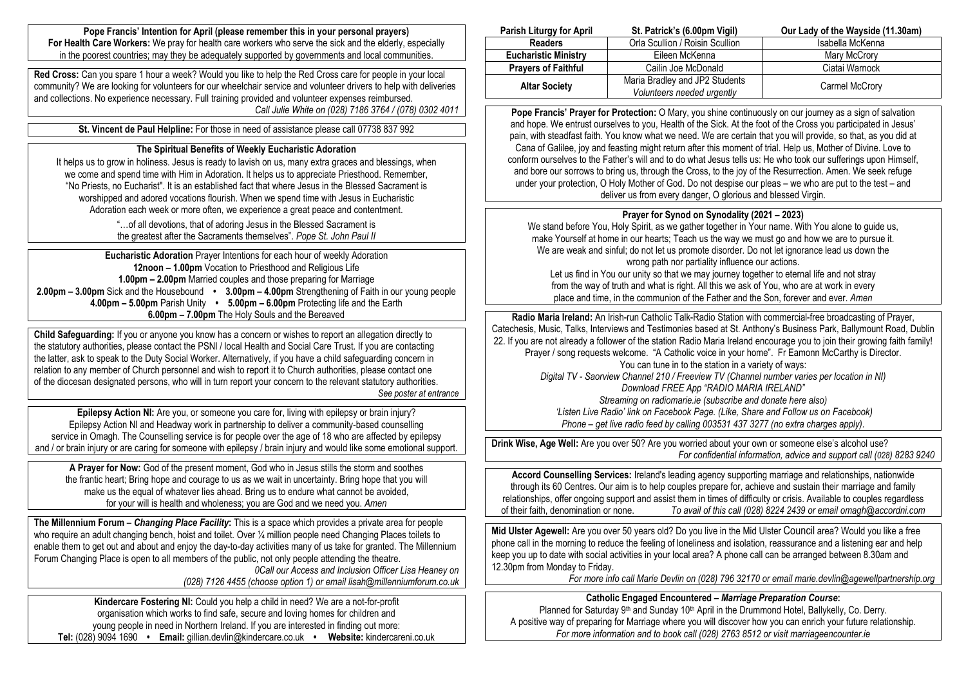**Pope Francis' Intention for April (please remember this in your personal prayers) For Health Care Workers:** We pray for health care workers who serve the sick and the elderly, especially in the poorest countries; may they be adequately supported by governments and local communities.

**Red Cross:** Can you spare 1 hour a week? Would you like to help the Red Cross care for people in your local community? We are looking for volunteers for our wheelchair service and volunteer drivers to help with deliveries and collections. No experience necessary. Full training provided and volunteer expenses reimbursed. *Call Julie White on (028) 7186 3764 / (078) 0302 4011*

**St. Vincent de Paul Helpline:** For those in need of assistance please call 07738 837 992

#### **The Spiritual Benefits of Weekly Eucharistic Adoration**

It helps us to grow in holiness. Jesus is ready to lavish on us, many extra graces and blessings, when we come and spend time with Him in Adoration. It helps us to appreciate Priesthood. Remember, "No Priests, no Eucharist". It is an established fact that where Jesus in the Blessed Sacrament is worshipped and adored vocations flourish. When we spend time with Jesus in Eucharistic Adoration each week or more often, we experience a great peace and contentment.

> "…of all devotions, that of adoring Jesus in the Blessed Sacrament is the greatest after the Sacraments themselves". *Pope St. John Paul II*

**Eucharistic Adoration** Prayer Intentions for each hour of weekly Adoration **12noon – 1.00pm** Vocation to Priesthood and Religious Life **1.00pm – 2.00pm** Married couples and those preparing for Marriage **2.00pm – 3.00pm** Sick and the Housebound **• 3.00pm – 4.00pm** Strengthening of Faith in our young people **4.00pm – 5.00pm** Parish Unity **• 5.00pm – 6.00pm** Protecting life and the Earth **6.00pm – 7.00pm** The Holy Souls and the Bereaved

**Child Safeguarding:** If you or anyone you know has a concern or wishes to report an allegation directly to the statutory authorities, please contact the PSNI / local Health and Social Care Trust. If you are contacting the latter, ask to speak to the Duty Social Worker. Alternatively, if you have a child safeguarding concern in relation to any member of Church personnel and wish to report it to Church authorities, please contact one of the diocesan designated persons, who will in turn report your concern to the relevant statutory authorities. *See poster at entrance*

**Epilepsy Action NI:** Are you, or someone you care for, living with epilepsy or brain injury? Epilepsy Action NI and Headway work in partnership to deliver a community-based counselling service in Omagh. The Counselling service is for people over the age of 18 who are affected by epilepsy and / or brain injury or are caring for someone with epilepsy / brain injury and would like some emotional support.

**A Prayer for Now:** God of the present moment, God who in Jesus stills the storm and soothes the frantic heart; Bring hope and courage to us as we wait in uncertainty. Bring hope that you will make us the equal of whatever lies ahead. Bring us to endure what cannot be avoided. for your will is health and wholeness; you are God and we need you. *Amen*

**The Millennium Forum –** *Changing Place Facility***:** This is a space which provides a private area for people who require an adult changing bench, hoist and toilet. Over 1/4 million people need Changing Places toilets to enable them to get out and about and enjoy the day-to-day activities many of us take for granted. The Millennium Forum Changing Place is open to all members of the public, not only people attending the theatre. *0Call our Access and Inclusion Officer Lisa Heaney on (028) 7126 4455 (choose option 1) or email lisah@millenniumforum.co.uk*

**Kindercare Fostering NI:** Could you help a child in need? We are a not-for-profit organisation which works to find safe, secure and loving homes for children and young people in need in Northern Ireland. If you are interested in finding out more: **Tel:** (028) 9094 1690 **• Email:** gillian.devlin@kindercare.co.uk **• Website:** kindercareni.co.uk

| <b>Parish Liturgy for April</b> | St. Patrick's (6.00pm Vigil)                                 | Our Lady of the Wayside (11.30am) |
|---------------------------------|--------------------------------------------------------------|-----------------------------------|
| <b>Readers</b>                  | Orla Scullion / Roisin Scullion                              | Isabella McKenna                  |
| <b>Eucharistic Ministry</b>     | Eileen McKenna                                               | Mary McCrory                      |
| <b>Prayers of Faithful</b>      | Cailin Joe McDonald                                          | Ciatai Warnock                    |
| <b>Altar Society</b>            | Maria Bradley and JP2 Students<br>Volunteers needed urgently | Carmel McCrory                    |

**Pope Francis' Prayer for Protection:** O Mary, you shine continuously on our journey as a sign of salvation and hope. We entrust ourselves to you, Health of the Sick. At the foot of the Cross you participated in Jesus' pain, with steadfast faith. You know what we need. We are certain that you will provide, so that, as you did at Cana of Galilee, joy and feasting might return after this moment of trial. Help us, Mother of Divine. Love to conform ourselves to the Father's will and to do what Jesus tells us: He who took our sufferings upon Himself, and bore our sorrows to bring us, through the Cross, to the joy of the Resurrection. Amen. We seek refuge under your protection, O Holy Mother of God. Do not despise our pleas – we who are put to the test – and deliver us from every danger, O glorious and blessed Virgin.

# **Prayer for Synod on Synodality (2021 – 2023)**

We stand before You, Holy Spirit, as we gather together in Your name. With You alone to guide us, make Yourself at home in our hearts; Teach us the way we must go and how we are to pursue it. We are weak and sinful; do not let us promote disorder. Do not let ignorance lead us down the wrong path nor partiality influence our actions.

Let us find in You our unity so that we may journey together to eternal life and not stray from the way of truth and what is right. All this we ask of You, who are at work in every place and time, in the communion of the Father and the Son, forever and ever. *Amen*

**Radio Maria Ireland:** An Irish-run Catholic Talk-Radio Station with commercial-free broadcasting of Prayer, Catechesis, Music, Talks, Interviews and Testimonies based at St. Anthony's Business Park, Ballymount Road, Dublin 22. If you are not already a follower of the station Radio Maria Ireland encourage you to join their growing faith family! Prayer / song requests welcome. "A Catholic voice in your home". Fr Eamonn McCarthy is Director. You can tune in to the station in a variety of ways: *Digital TV - Saorview Channel 210 / Freeview TV (Channel number varies per location in NI) Download FREE App "RADIO MARIA IRELAND" Streaming on radiomarie.ie (subscribe and donate here also) 'Listen Live Radio' link on Facebook Page. (Like, Share and Follow us on Facebook)*

*Phone – get live radio feed by calling 003531 437 3277 (no extra charges apply).*

**Drink Wise, Age Well:** Are you over 50? Are you worried about your own or someone else's alcohol use? *For confidential information, advice and support call (028) 8283 9240*

**Accord Counselling Services:** Ireland's leading agency supporting marriage and relationships, nationwide through its 60 Centres. Our aim is to help couples prepare for, achieve and sustain their marriage and family relationships, offer ongoing support and assist them in times of difficulty or crisis. Available to couples regardless of their faith, denomination or none. *To avail of this call (028) 8224 2439 or email omagh@accordni.com*

**Mid Ulster Agewell:** Are you over 50 years old? Do you live in the Mid Ulster Council area? Would you like a free phone call in the morning to reduce the feeling of loneliness and isolation, reassurance and a listening ear and help keep you up to date with social activities in your local area? A phone call can be arranged between 8.30am and 12.30pm from Monday to Friday.

*For more info call Marie Devlin on (028) 796 32170 or email [marie.devlin@agewellpartnership.org](mailto:marie.devlin@agewellpartnership.org)*

**Catholic Engaged Encountered –** *Marriage Preparation Course***:** Planned for Saturday 9<sup>th</sup> and Sunday 10<sup>th</sup> April in the Drummond Hotel, Ballykelly, Co. Derry.

A positive way of preparing for Marriage where you will discover how you can enrich your future relationship. *For more information and to book call (028) 2763 8512 or visit marriageencounter.ie*